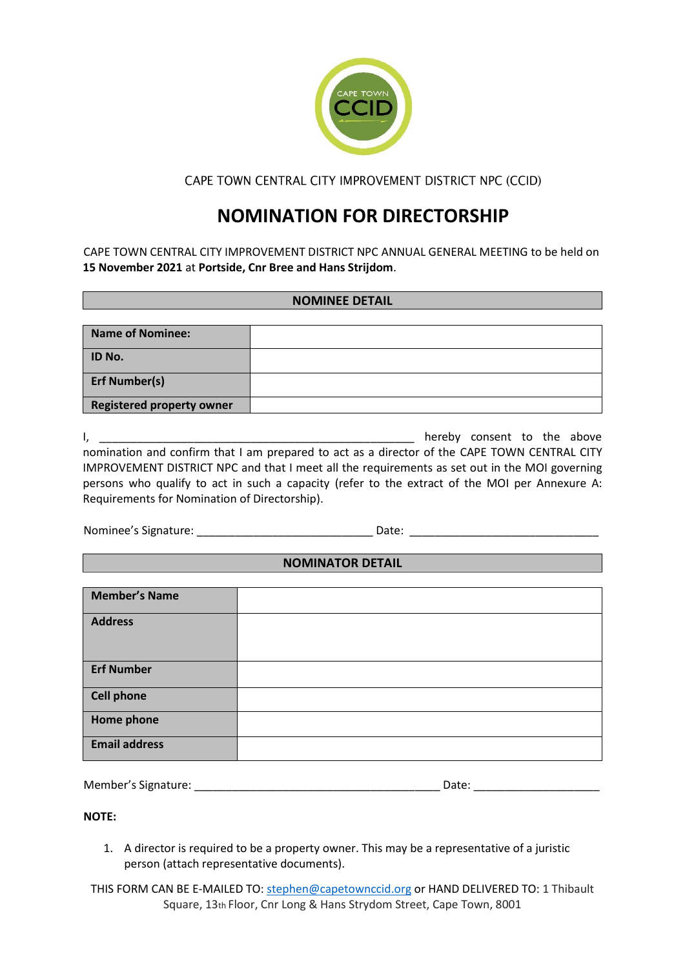

CAPE TOWN CENTRAL CITY IMPROVEMENT DISTRICT NPC (CCID)

# **NOMINATION FOR DIRECTORSHIP**

CAPE TOWN CENTRAL CITY IMPROVEMENT DISTRICT NPC ANNUAL GENERAL MEETING to be held on **15 November 2021** at **Portside, Cnr Bree and Hans Strijdom**.

## **NOMINEE DETAIL**

| <b>Name of Nominee:</b>          |  |
|----------------------------------|--|
| ID No.                           |  |
| <b>Erf Number(s)</b>             |  |
| <b>Registered property owner</b> |  |

| 1, I                                                                                           | hereby consent to the above |  |  |
|------------------------------------------------------------------------------------------------|-----------------------------|--|--|
| nomination and confirm that I am prepared to act as a director of the CAPE TOWN CENTRAL CITY   |                             |  |  |
| IMPROVEMENT DISTRICT NPC and that I meet all the requirements as set out in the MOI governing  |                             |  |  |
| persons who qualify to act in such a capacity (refer to the extract of the MOI per Annexure A: |                             |  |  |
| Requirements for Nomination of Directorship).                                                  |                             |  |  |

Nominee's Signature: \_\_\_\_\_\_\_\_\_\_\_\_\_\_\_\_\_\_\_\_\_\_\_\_\_\_\_\_ Date: \_\_\_\_\_\_\_\_\_\_\_\_\_\_\_\_\_\_\_\_\_\_\_\_\_\_\_\_\_\_

## **NOMINATOR DETAIL**

| <b>Member's Name</b> |  |
|----------------------|--|
|                      |  |
|                      |  |
| <b>Address</b>       |  |
|                      |  |
|                      |  |
|                      |  |
| <b>Erf Number</b>    |  |
|                      |  |
|                      |  |
| <b>Cell phone</b>    |  |
|                      |  |
|                      |  |
| Home phone           |  |
|                      |  |
| <b>Email address</b> |  |
|                      |  |
|                      |  |

| Member's Signature:<br>Date: |
|------------------------------|
|------------------------------|

**NOTE:**

- 1. A director is required to be a property owner. This may be a representative of a juristic person (attach representative documents).
- THIS FORM CAN BE E-MAILED TO: [stephen@capetownccid.org](mailto:stephen@capetownccid.org) or HAND DELIVERED TO: 1 Thibault Square, 13th Floor, Cnr Long & Hans Strydom Street, Cape Town, 8001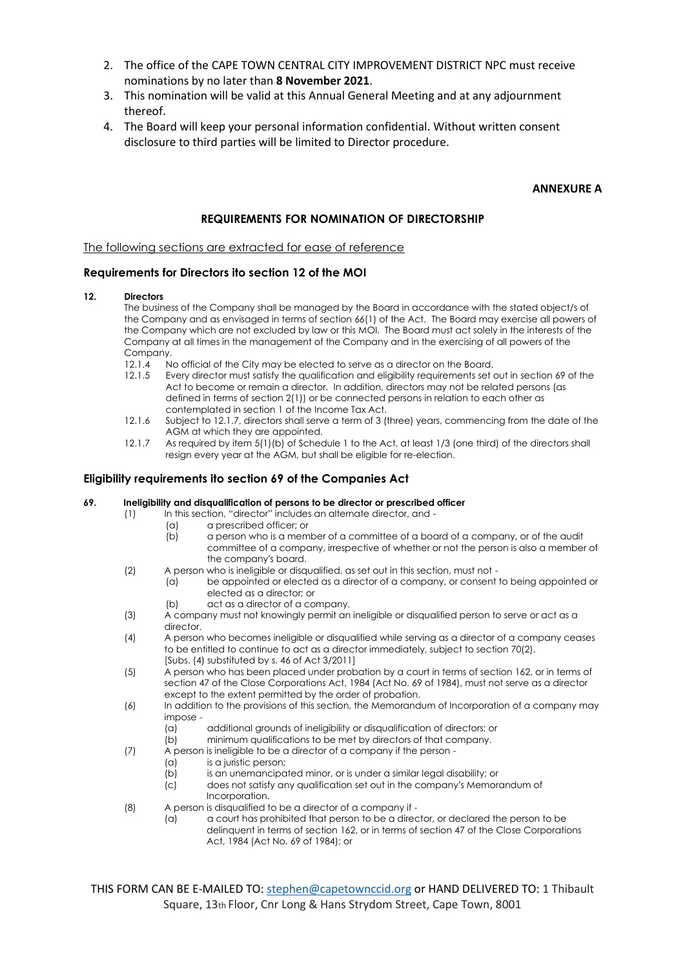- 2. The office of the CAPE TOWN CENTRAL CITY IMPROVEMENT DISTRICT NPC must receive nominations by no later than **8 November 2021**.
- 3. This nomination will be valid at this Annual General Meeting and at any adjournment thereof.
- 4. The Board will keep your personal information confidential. Without written consent disclosure to third parties will be limited to Director procedure.

## **ANNEXURE A**

## **REQUIREMENTS FOR NOMINATION OF DIRECTORSHIP**

The following sections are extracted for ease of reference

## **Requirements for Directors ito section 12 of the MOI**

#### **12. Directors**

The business of the Company shall be managed by the Board in accordance with the stated object/s of the Company and as envisaged in terms of section 66(1) of the Act. The Board may exercise all powers of the Company which are not excluded by law or this MOI. The Board must act solely in the interests of the Company at all times in the management of the Company and in the exercising of all powers of the Company.

- 12.1.4 No official of the City may be elected to serve as a director on the Board.<br>12.1.5 Frery director must satisfy the auglification and eligibility requirements set
- Every director must satisfy the qualification and eligibility requirements set out in section 69 of the Act to become or remain a director. In addition, directors may not be related persons (as defined in terms of section 2(1)) or be connected persons in relation to each other as contemplated in section 1 of the Income Tax Act.
- 12.1.6 Subject to 12.1.7, directors shall serve a term of 3 (three) years, commencing from the date of the AGM at which they are appointed.
- 12.1.7 As required by item 5(1)(b) of Schedule 1 to the Act, at least 1/3 (one third) of the directors shall resign every year at the AGM, but shall be eligible for re-election.

## **Eligibility requirements ito section 69 of the Companies Act**

#### **69. Ineligibility and disqualification of persons to be director or prescribed officer**

- (1) In this section, "director" includes an alternate director, and
	- (a) a prescribed officer; or
	- (b) a person who is a member of a committee of a board of a company, or of the audit committee of a company, irrespective of whether or not the person is also a member of the company's board.
- (2) A person who is ineligible or disqualified, as set out in this section, must not
	- (a) be appointed or elected as a director of a company, or consent to being appointed or elected as a director; or
	- (b) act as a director of a company.
- (3) A company must not knowingly permit an ineligible or disqualified person to serve or act as a director.
- (4) A person who becomes ineligible or disqualified while serving as a director of a company ceases to be entitled to continue to act as a director immediately, subject to section 70(2). [Subs. (4) substituted by s. 46 of Act 3/2011]
- (5) A person who has been placed under probation by a court in terms of section 162, or in terms of section 47 of the Close Corporations Act, 1984 (Act No. 69 of 1984), must not serve as a director except to the extent permitted by the order of probation.
- (6) In addition to the provisions of this section, the Memorandum of Incorporation of a company may impose -
	- (a) additional grounds of ineligibility or disqualification of directors; or
	- (b) minimum qualifications to be met by directors of that company.
- $(7)$  A person is ineligible to be a director of a company if the person -
	- (a) is a juristic person;
		- $\overline{b}$  is an unemancipated minor, or is under a similar legal disability; or
		- (c) does not satisfy any qualification set out in the company's Memorandum of Incorporation.
- (8) A person is disqualified to be a director of a company if
	- (a) a court has prohibited that person to be a director, or declared the person to be delinquent in terms of section 162, or in terms of section 47 of the Close Corporations Act, 1984 (Act No. 69 of 1984); or

THIS FORM CAN BE E-MAILED TO: [stephen@capetownccid.org](mailto:stephen@capetownccid.org) or HAND DELIVERED TO: 1 Thibault Square, 13th Floor, Cnr Long & Hans Strydom Street, Cape Town, 8001